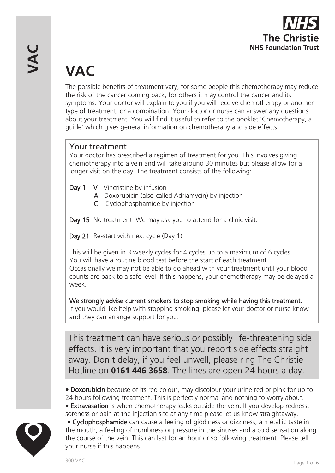

# **VAC**

The possible benefits of treatment vary; for some people this chemotherapy may reduce the risk of the cancer coming back, for others it may control the cancer and its symptoms. Your doctor will explain to you if you will receive chemotherapy or another type of treatment, or a combination. Your doctor or nurse can answer any questions about your treatment. You will find it useful to refer to the booklet 'Chemotherapy, a guide' which gives general information on chemotherapy and side effects.

# Your treatment

Your doctor has prescribed a regimen of treatment for you. This involves giving chemotherapy into a vein and will take around 30 minutes but please allow for a longer visit on the day. The treatment consists of the following:

- Day 1 V Vincristine by infusion
	- A Doxorubicin (also called Adriamycin) by injection
	- C Cyclophosphamide by injection
- Day 15 No treatment. We may ask you to attend for a clinic visit.
- Day 21 Re-start with next cycle (Day 1)

This will be given in 3 weekly cycles for 4 cycles up to a maximum of 6 cycles. You will have a routine blood test before the start of each treatment. Occasionally we may not be able to go ahead with your treatment until your blood counts are back to a safe level. If this happens, your chemotherapy may be delayed a week.

We strongly advise current smokers to stop smoking while having this treatment. If you would like help with stopping smoking, please let your doctor or nurse know and they can arrange support for you.

This treatment can have serious or possibly life-threatening side effects. It is very important that you report side effects straight away. Don't delay, if you feel unwell, please ring The Christie Hotline on **0161 446 3658**. The lines are open 24 hours a day.

• Doxorubicin because of its red colour, may discolour your urine red or pink for up to 24 hours following treatment. This is perfectly normal and nothing to worry about. • Extravasation is when chemotherapy leaks outside the vein. If you develop redness, soreness or pain at the injection site at any time please let us know straightaway.



• Cyclophosphamide can cause a feeling of giddiness or dizziness, a metallic taste in the mouth, a feeling of numbness or pressure in the sinuses and a cold sensation along the course of the vein. This can last for an hour or so following treatment. Please tell your nurse if this happens.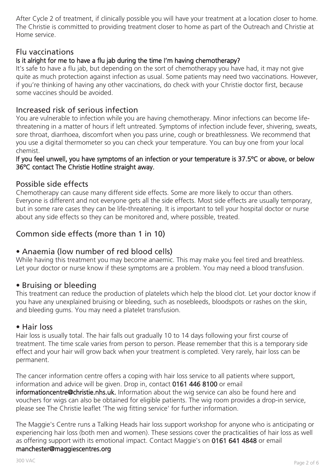After Cycle 2 of treatment, if clinically possible you will have your treatment at a location closer to home. The Christie is committed to providing treatment closer to home as part of the Outreach and Christie at Home service.

### Flu vaccinations

### Is it alright for me to have a flu jab during the time I'm having chemotherapy?

It's safe to have a flu jab, but depending on the sort of chemotherapy you have had, it may not give quite as much protection against infection as usual. Some patients may need two vaccinations. However, if you're thinking of having any other vaccinations, do check with your Christie doctor first, because some vaccines should be avoided.

#### Increased risk of serious infection

You are vulnerable to infection while you are having chemotherapy. Minor infections can become lifethreatening in a matter of hours if left untreated. Symptoms of infection include fever, shivering, sweats, sore throat, diarrhoea, discomfort when you pass urine, cough or breathlessness. We recommend that you use a digital thermometer so you can check your temperature. You can buy one from your local chemist.

#### If you feel unwell, you have symptoms of an infection or your temperature is 37.5ºC or above, or below 36ºC contact The Christie Hotline straight away.

## Possible side effects

Chemotherapy can cause many different side effects. Some are more likely to occur than others. Everyone is different and not everyone gets all the side effects. Most side effects are usually temporary, but in some rare cases they can be life-threatening. It is important to tell your hospital doctor or nurse about any side effects so they can be monitored and, where possible, treated.

# Common side effects (more than 1 in 10)

#### • Anaemia (low number of red blood cells)

While having this treatment you may become anaemic. This may make you feel tired and breathless. Let your doctor or nurse know if these symptoms are a problem. You may need a blood transfusion.

#### • Bruising or bleeding

This treatment can reduce the production of platelets which help the blood clot. Let your doctor know if you have any unexplained bruising or bleeding, such as nosebleeds, bloodspots or rashes on the skin, and bleeding gums. You may need a platelet transfusion.

#### • Hair loss

Hair loss is usually total. The hair falls out gradually 10 to 14 days following your first course of treatment. The time scale varies from person to person. Please remember that this is a temporary side effect and your hair will grow back when your treatment is completed. Very rarely, hair loss can be permanent.

The cancer information centre offers a coping with hair loss service to all patients where support, information and advice will be given. Drop in, contact 0161 446 8100 or email informationcentre@christie.nhs.uk. Information about the wig service can also be found here and vouchers for wigs can also be obtained for eligible patients. The wig room provides a drop-in service, please see The Christie leaflet 'The wig fitting service' for further information.

The Maggie's Centre runs a Talking Heads hair loss support workshop for anyone who is anticipating or experiencing hair loss (both men and women). These sessions cover the practicalities of hair loss as well as offering support with its emotional impact. Contact Maggie's on 0161 641 4848 or email manchester@maggiescentres.org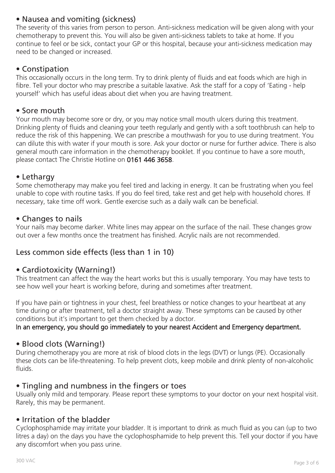# • Nausea and vomiting (sickness)

The severity of this varies from person to person. Anti-sickness medication will be given along with your chemotherapy to prevent this. You will also be given anti-sickness tablets to take at home. If you continue to feel or be sick, contact your GP or this hospital, because your anti-sickness medication may need to be changed or increased.

## • Constipation

This occasionally occurs in the long term. Try to drink plenty of fluids and eat foods which are high in fibre. Tell your doctor who may prescribe a suitable laxative. Ask the staff for a copy of 'Eating - help yourself' which has useful ideas about diet when you are having treatment.

### • Sore mouth

Your mouth may become sore or dry, or you may notice small mouth ulcers during this treatment. Drinking plenty of fluids and cleaning your teeth regularly and gently with a soft toothbrush can help to reduce the risk of this happening. We can prescribe a mouthwash for you to use during treatment. You can dilute this with water if your mouth is sore. Ask your doctor or nurse for further advice. There is also general mouth care information in the chemotherapy booklet. If you continue to have a sore mouth, please contact The Christie Hotline on 0161 446 3658.

## • Lethargy

Some chemotherapy may make you feel tired and lacking in energy. It can be frustrating when you feel unable to cope with routine tasks. If you do feel tired, take rest and get help with household chores. If necessary, take time off work. Gentle exercise such as a daily walk can be beneficial.

#### • Changes to nails

Your nails may become darker. White lines may appear on the surface of the nail. These changes grow out over a few months once the treatment has finished. Acrylic nails are not recommended.

# Less common side effects (less than 1 in 10)

## • Cardiotoxicity (Warning!)

This treatment can affect the way the heart works but this is usually temporary. You may have tests to see how well your heart is working before, during and sometimes after treatment.

If you have pain or tightness in your chest, feel breathless or notice changes to your heartbeat at any time during or after treatment, tell a doctor straight away. These symptoms can be caused by other conditions but it's important to get them checked by a doctor.

#### In an emergency, you should go immediately to your nearest Accident and Emergency department.

## • Blood clots (Warning!)

During chemotherapy you are more at risk of blood clots in the legs (DVT) or lungs (PE). Occasionally these clots can be life-threatening. To help prevent clots, keep mobile and drink plenty of non-alcoholic fluids.

## • Tingling and numbness in the fingers or toes

Usually only mild and temporary. Please report these symptoms to your doctor on your next hospital visit. Rarely, this may be permanent.

## • Irritation of the bladder

Cyclophosphamide may irritate your bladder. It is important to drink as much fluid as you can (up to two litres a day) on the days you have the cyclophosphamide to help prevent this. Tell your doctor if you have any discomfort when you pass urine.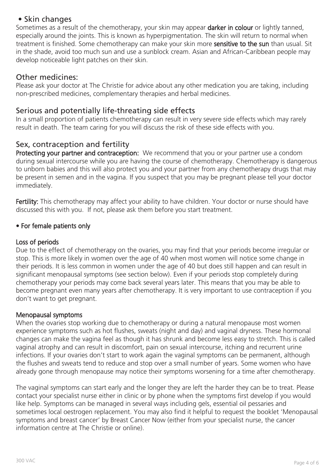# • Skin changes

Sometimes as a result of the chemotherapy, your skin may appear **darker in colour** or lightly tanned, especially around the joints. This is known as hyperpigmentation. The skin will return to normal when treatment is finished. Some chemotherapy can make your skin more sensitive to the sun than usual. Sit in the shade, avoid too much sun and use a sunblock cream. Asian and African-Caribbean people may develop noticeable light patches on their skin.

## Other medicines:

Please ask your doctor at The Christie for advice about any other medication you are taking, including non-prescribed medicines, complementary therapies and herbal medicines.

## Serious and potentially life-threating side effects

In a small proportion of patients chemotherapy can result in very severe side effects which may rarely result in death. The team caring for you will discuss the risk of these side effects with you.

# Sex, contraception and fertility

Protecting your partner and contraception: We recommend that you or your partner use a condom during sexual intercourse while you are having the course of chemotherapy. Chemotherapy is dangerous to unborn babies and this will also protect you and your partner from any chemotherapy drugs that may be present in semen and in the vagina. If you suspect that you may be pregnant please tell your doctor immediately.

Fertility: This chemotherapy may affect your ability to have children. Your doctor or nurse should have discussed this with you. If not, please ask them before you start treatment.

#### • For female patients only

#### Loss of periods

Due to the effect of chemotherapy on the ovaries, you may find that your periods become irregular or stop. This is more likely in women over the age of 40 when most women will notice some change in their periods. It is less common in women under the age of 40 but does still happen and can result in significant menopausal symptoms (see section below). Even if your periods stop completely during chemotherapy your periods may come back several years later. This means that you may be able to become pregnant even many years after chemotherapy. It is very important to use contraception if you don't want to get pregnant.

#### Menopausal symptoms

When the ovaries stop working due to chemotherapy or during a natural menopause most women experience symptoms such as hot flushes, sweats (night and day) and vaginal dryness. These hormonal changes can make the vagina feel as though it has shrunk and become less easy to stretch. This is called vaginal atrophy and can result in discomfort, pain on sexual intercourse, itching and recurrent urine infections. If your ovaries don't start to work again the vaginal symptoms can be permanent, although the flushes and sweats tend to reduce and stop over a small number of years. Some women who have already gone through menopause may notice their symptoms worsening for a time after chemotherapy.

The vaginal symptoms can start early and the longer they are left the harder they can be to treat. Please contact your specialist nurse either in clinic or by phone when the symptoms first develop if you would like help. Symptoms can be managed in several ways including gels, essential oil pessaries and sometimes local oestrogen replacement. You may also find it helpful to request the booklet 'Menopausal symptoms and breast cancer' by Breast Cancer Now (either from your specialist nurse, the cancer information centre at The Christie or online).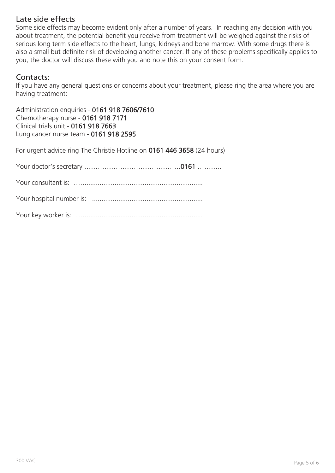## Late side effects

Some side effects may become evident only after a number of years. In reaching any decision with you about treatment, the potential benefit you receive from treatment will be weighed against the risks of serious long term side effects to the heart, lungs, kidneys and bone marrow. With some drugs there is also a small but definite risk of developing another cancer. If any of these problems specifically applies to you, the doctor will discuss these with you and note this on your consent form.

# Contacts:

If you have any general questions or concerns about your treatment, please ring the area where you are having treatment:

Administration enquiries - 0161 918 7606/7610 Chemotherapy nurse - 0161 918 7171 Clinical trials unit - 0161 918 7663 Lung cancer nurse team - 0161 918 2595

For urgent advice ring The Christie Hotline on 0161 446 3658 (24 hours)

Your doctor's secretary …………………………………….0161 ………..

Your consultant is: .....................................................................

Your hospital number is: ...........................................................

Your key worker is: ....................................................................